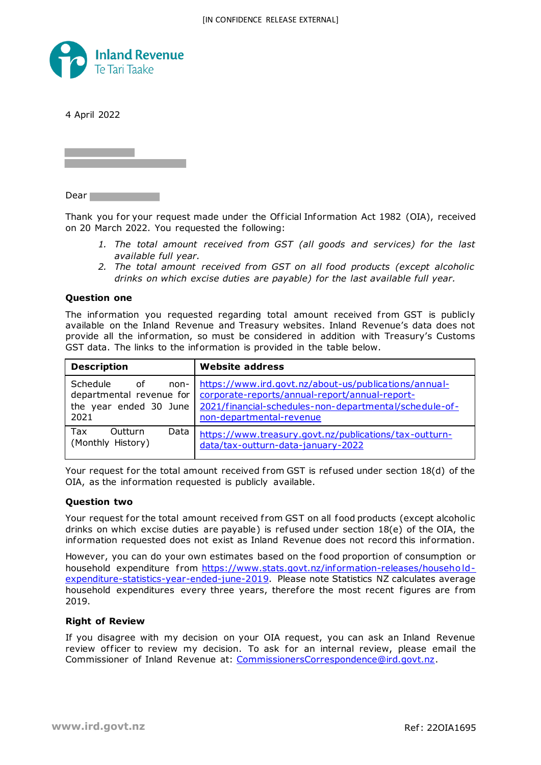

4 April 2022

Dear **Dear** 

Thank you for your request made under the Of ficial Information Act 1982 (OIA), received on 20 March 2022. You requested the following:

- *1. The total amount received from GST (all goods and services) for the last available full year.*
- *2. The total amount received from GST on all food products (except alcoholic drinks on which excise duties are payable) for the last available full year.*

## **Question one**

The information you requested regarding total amount received from GST is publicly available on the Inland Revenue and Treasury websites. Inland Revenue's data does not provide all the information, so must be considered in addition with Treasury's Customs GST data. The links to the information is provided in the table below.

| <b>Description</b>                                                                                                                                                                                | <b>Website address</b>                                                                                                                                                                        |  |  |
|---------------------------------------------------------------------------------------------------------------------------------------------------------------------------------------------------|-----------------------------------------------------------------------------------------------------------------------------------------------------------------------------------------------|--|--|
| Schedule<br>of the contract of the contract of the contract of the contract of the contract of the contract of the contract<br>non-<br>departmental revenue for<br>the year ended 30 June<br>2021 | https://www.ird.govt.nz/about-us/publications/annual-<br>corporate-reports/annual-report/annual-report-<br>2021/financial-schedules-non-departmental/schedule-of-<br>non-departmental-revenue |  |  |
| Outturn<br>Data<br>Tax<br>(Monthly History)                                                                                                                                                       | https://www.treasury.govt.nz/publications/tax-outturn-<br>data/tax-outturn-data-january-2022                                                                                                  |  |  |

Your request for the total amount received from GST is refused under section  $18(d)$  of the OIA, as the information requested is publicly available.

## **Question two**

Your request for the total amount received from GST on all food products (except alcoholic drinks on which excise duties are payable) is refused under section 18(e) of the OIA, the information requested does not exist as Inland Revenue does not record this information.

However, you can do your own estimates based on the food proportion of consumption or household expenditure from https://www.stats.govt.nz/information-releases/householdexpenditure-statistics-year-ended-june-2019. Please note Statistics NZ calculates average household expenditures every three years, therefore the most recent figures are from 2019.

## **Right of Review**

If you disagree with my decision on your OIA request, you can ask an Inland Revenue review officer to review my decision. To ask for an internal review, please email the Commissioner of Inland Revenue at: CommissionersCorrespondence@ird.govt.nz.